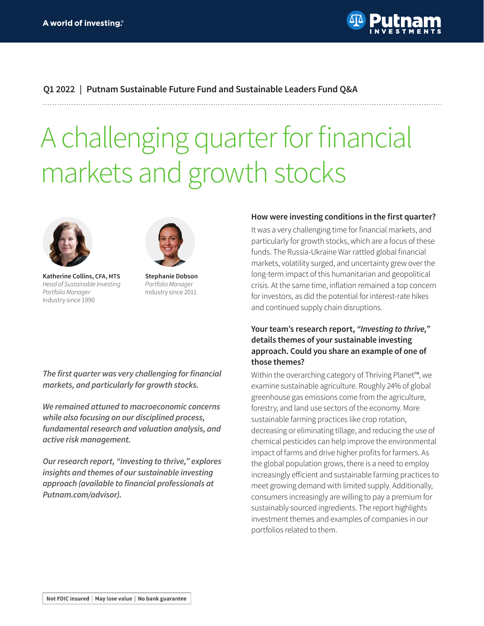

## **Q1 2022 | Putnam Sustainable Future Fund and Sustainable Leaders Fund Q&A**

# A challenging quarter for financial markets and growth stocks





**Katherine Collins, CFA, MTS** *Head of Sustainable Investing Portfolio Manager* Industry since 1990

**Stephanie Dobson**  *Portfolio Manager* Industry since 2011

#### **How were investing conditions in the first quarter?**

It was a very challenging time for financial markets, and particularly for growth stocks, which are a focus of these funds. The Russia-Ukraine War rattled global financial markets, volatility surged, and uncertainty grew over the long-term impact of this humanitarian and geopolitical crisis. At the same time, inflation remained a top concern for investors, as did the potential for interest-rate hikes and continued supply chain disruptions.

## **Your team's research report,** *"Investing to thrive,"* **details themes of your sustainable investing approach. Could you share an example of one of those themes?**

Within the overarching category of Thriving Planet™, we examine sustainable agriculture. Roughly 24% of global greenhouse gas emissions come from the agriculture, forestry, and land use sectors of the economy. More sustainable farming practices like crop rotation, decreasing or eliminating tillage, and reducing the use of chemical pesticides can help improve the environmental impact of farms and drive higher profits for farmers. As the global population grows, there is a need to employ increasingly efficient and sustainable farming practices to meet growing demand with limited supply. Additionally, consumers increasingly are willing to pay a premium for sustainably sourced ingredients. The report highlights investment themes and examples of companies in our portfolios related to them.

**The first quarter was very challenging for financial markets, and particularly for growth stocks.**

**We remained attuned to macroeconomic concerns while also focusing on our disciplined process, fundamental research and valuation analysis, and active risk management.**

**Our research report, "Investing to thrive," explores insights and themes of our sustainable investing approach (available to financial professionals at [Putnam.com/advisor\).](https://www.Putnam.com/advisor)?ref=TL187.pdf)**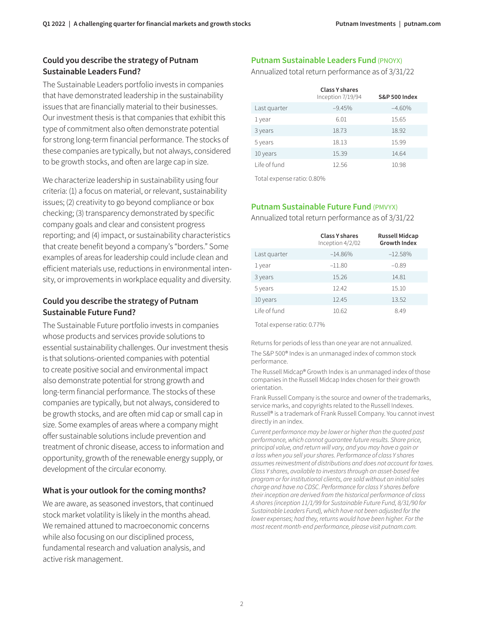## **Could you describe the strategy of Putnam Sustainable Leaders Fund?**

The Sustainable Leaders portfolio invests in companies that have demonstrated leadership in the sustainability issues that are financially material to their businesses. Our investment thesis is that companies that exhibit this type of commitment also often demonstrate potential for strong long-term financial performance. The stocks of these companies are typically, but not always, considered to be growth stocks, and often are large cap in size.

We characterize leadership in sustainability using four criteria: (1) a focus on material, or relevant, sustainability issues; (2) creativity to go beyond compliance or box checking; (3) transparency demonstrated by specific company goals and clear and consistent progress reporting; and (4) impact, or sustainability characteristics that create benefit beyond a company's "borders." Some examples of areas for leadership could include clean and efficient materials use, reductions in environmental intensity, or improvements in workplace equality and diversity.

#### **Could you describe the strategy of Putnam Sustainable Future Fund?**

The Sustainable Future portfolio invests in companies whose products and services provide solutions to essential sustainability challenges. Our investment thesis is that solutions-oriented companies with potential to create positive social and environmental impact also demonstrate potential for strong growth and long-term financial performance. The stocks of these companies are typically, but not always, considered to be growth stocks, and are often mid cap or small cap in size. Some examples of areas where a company might offer sustainable solutions include prevention and treatment of chronic disease, access to information and opportunity, growth of the renewable energy supply, or development of the circular economy.

## **What is your outlook for the coming months?**

We are aware, as seasoned investors, that continued stock market volatility is likely in the months ahead. We remained attuned to macroeconomic concerns while also focusing on our disciplined process, fundamental research and valuation analysis, and active risk management.

## **Putnam Sustainable Leaders Fund (PNOYX)**

Annualized total return performance as of 3/31/22

|              | <b>Class Y shares</b><br>Inception 7/19/94 | <b>S&amp;P 500 Index</b> |
|--------------|--------------------------------------------|--------------------------|
| Last quarter | $-9.45%$                                   | $-4.60%$                 |
| 1 year       | 6.01                                       | 15.65                    |
| 3 years      | 18.73                                      | 18.92                    |
| 5 years      | 18.13                                      | 15.99                    |
| 10 years     | 15.39                                      | 14.64                    |
| Life of fund | 12.56                                      | 10.98                    |

Total expense ratio: 0.80%

## **Putnam Sustainable Future Fund** (PMVYX)

Annualized total return performance as of 3/31/22

|              | <b>Class Y shares</b><br>Inception $4/2/02$ | <b>Russell Midcap</b><br><b>Growth Index</b> |
|--------------|---------------------------------------------|----------------------------------------------|
| Last quarter | $-14.86%$                                   | $-12.58%$                                    |
| 1 year       | $-11.80$                                    | $-0.89$                                      |
| 3 years      | 15.26                                       | 14.81                                        |
| 5 years      | 12.42                                       | 15.10                                        |
| 10 years     | 12.45                                       | 13.52                                        |
| Life of fund | 10.62                                       | 8.49                                         |

Total expense ratio: 0.77%

Returns for periods of less than one year are not annualized. The S&P 500® Index is an unmanaged index of common stock performance.

The Russell Midcap® Growth Index is an unmanaged index of those companies in the Russell Midcap Index chosen for their growth orientation.

Frank Russell Company is the source and owner of the trademarks, service marks, and copyrights related to the Russell Indexes. Russell® is a trademark of Frank Russell Company. You cannot invest directly in an index.

*Current performance may be lower or higher than the quoted past performance, which cannot guarantee future results. Share price, principal value, and return will vary, and you may have a gain or a loss when you sell your shares. Performance of class Y shares assumes reinvestment of distributions and does not account for taxes. Class Y shares, available to investors through an asset-based fee program or for institutional clients, are sold without an initial sales charge and have no CDSC. Performance for class Y shares before their inception are derived from the historical performance of class A shares (inception 11/1/99 for Sustainable Future Fund, 8/31/90 for Sustainable Leaders Fund), which have not been adjusted for the lower expenses; had they, returns would have been higher. For the most recent month-end performance, please visit [putnam.com.](https://www.putnam.com?ref=TL187.pdf)*